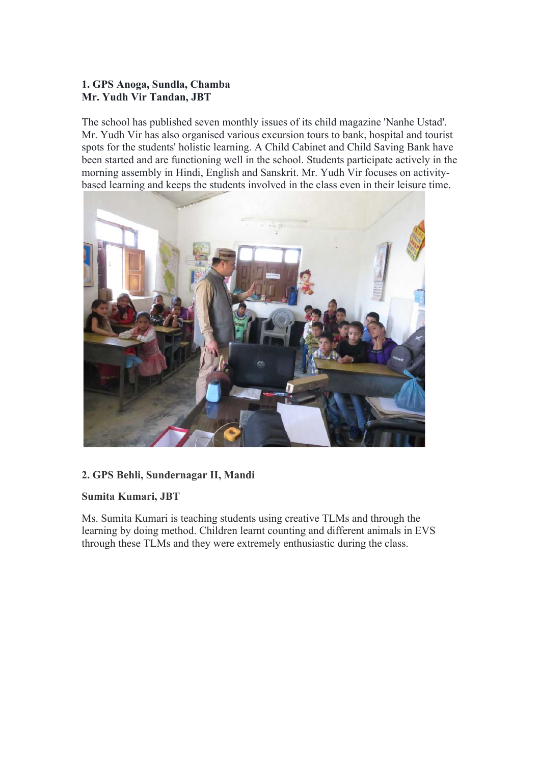### **1. GPS Anoga, Sundla, Chamba Mr. Yudh Vir Tandan, JBT**

The school has published seven monthly issues of its child magazine 'Nanhe Ustad'. Mr. Yudh Vir has also organised various excursion tours to bank, hospital and tourist spots for the students' holistic learning. A Child Cabinet and Child Saving Bank have been started and are functioning well in the school. Students participate actively in the morning assembly in Hindi, English and Sanskrit. Mr. Yudh Vir focuses on activitybased learning and keeps the students involved in the class even in their leisure time.



### **2. GPS Behli, Sundernagar II, Mandi**

### **Sumita Kumari, JBT**

Ms. Sumita Kumari is teaching students using creative TLMs and through the learning by doing method. Children learnt counting and different animals in EVS through these TLMs and they were extremely enthusiastic during the class.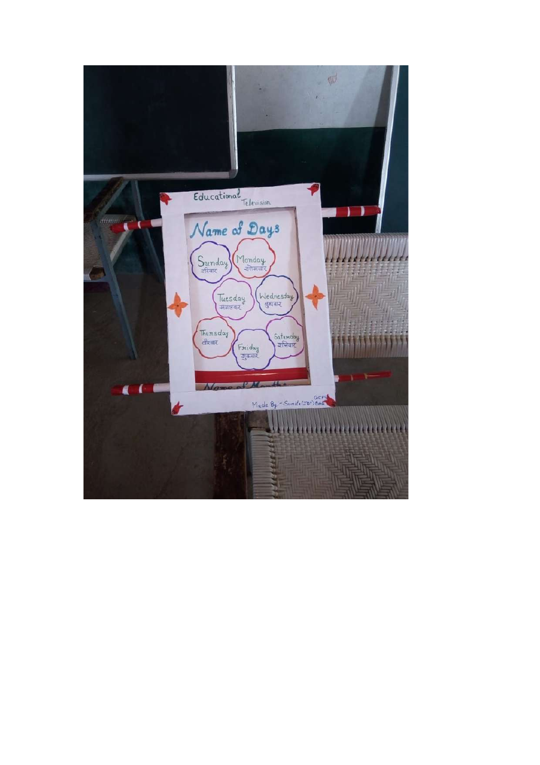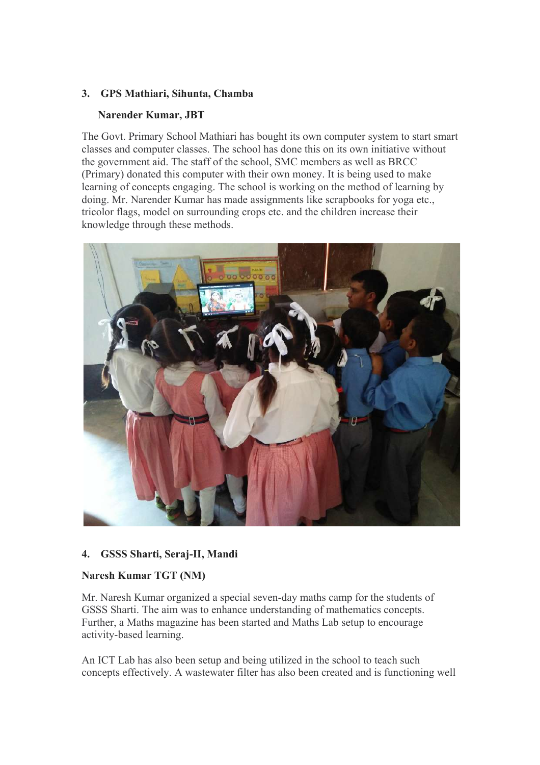### **3. GPS Mathiari, Sihunta, Chamba**

### **Narender Kumar, JBT**

The Govt. Primary School Mathiari has bought its own computer system to start smart classes and computer classes. The school has done this on its own initiative without the government aid. The staff of the school, SMC members as well as BRCC (Primary) donated this computer with their own money. It is being used to make learning of concepts engaging. The school is working on the method of learning by doing. Mr. Narender Kumar has made assignments like scrapbooks for yoga etc., tricolor flags, model on surrounding crops etc. and the children increase their knowledge through these methods.



## **4. GSSS Sharti, Seraj-II, Mandi**

## **Naresh Kumar TGT (NM)**

Mr. Naresh Kumar organized a special seven-day maths camp for the students of GSSS Sharti. The aim was to enhance understanding of mathematics concepts. Further, a Maths magazine has been started and Maths Lab setup to encourage activity-based learning.

An ICT Lab has also been setup and being utilized in the school to teach such concepts effectively. A wastewater filter has also been created and is functioning well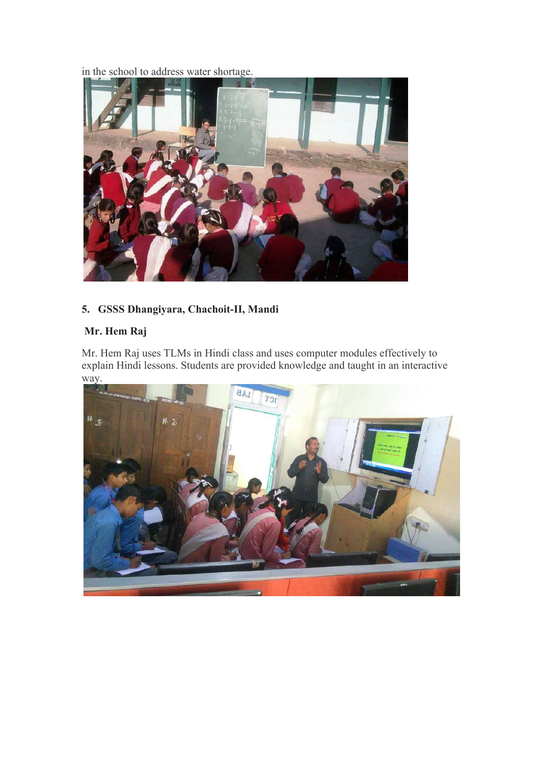in the school to address water shortage.



# **5. GSSS Dhangiyara, Chachoit-II, Mandi**

# **Mr. Hem Raj**

Mr. Hem Raj uses TLMs in Hindi class and uses computer modules effectively to explain Hindi lessons. Students are provided knowledge and taught in an interactive way.

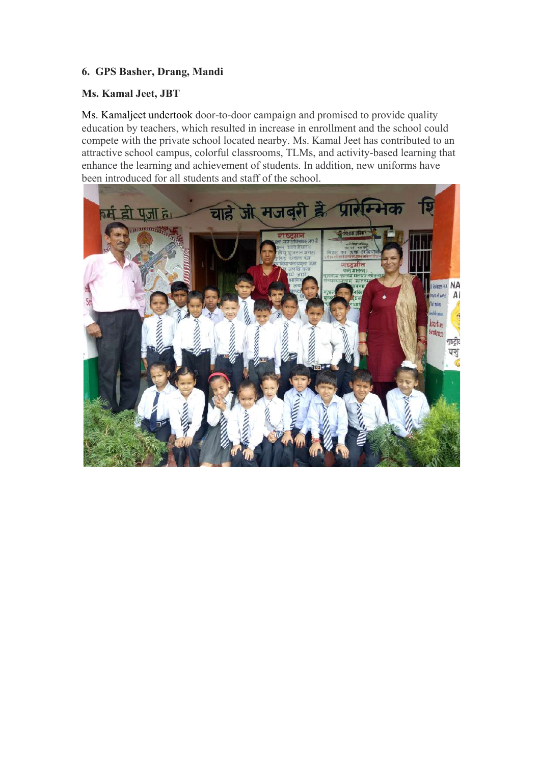### **6. GPS Basher, Drang, Mandi**

#### **Ms. Kamal Jeet, JBT**

Ms. Kamaljeet undertook door-to-door campaign and promised to provide quality education by teachers, which resulted in increase in enrollment and the school could compete with the private school located nearby. Ms. Kamal Jeet has contributed to an attractive school campus, colorful classrooms, TLMs, and activity-based learning that enhance the learning and achievement of students. In addition, new uniforms have been introduced for all students and staff of the school.